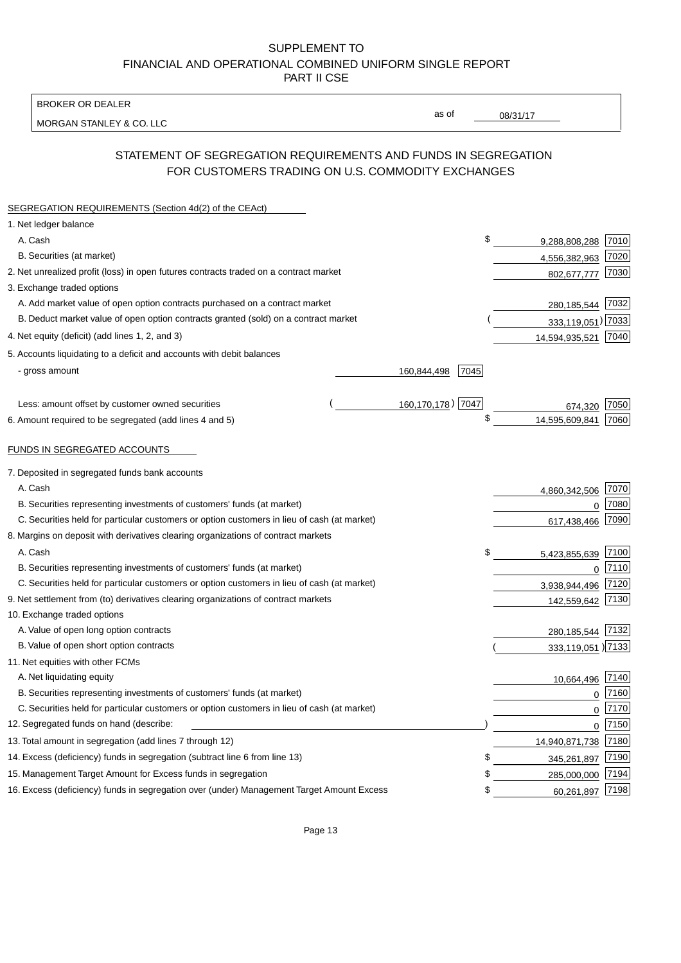BROKER OR DEALER

MORGAN STANLEY & CO. LLC

08/31/17

as of

# STATEMENT OF SEGREGATION REQUIREMENTS AND FUNDS IN SEGREGATION FOR CUSTOMERS TRADING ON U.S. COMMODITY EXCHANGES

| SEGREGATION REQUIREMENTS (Section 4d(2) of the CEAct)                                       |                     |                   |      |
|---------------------------------------------------------------------------------------------|---------------------|-------------------|------|
| 1. Net ledger balance                                                                       |                     |                   |      |
| A. Cash                                                                                     | \$                  | 9,288,808,288     | 7010 |
| B. Securities (at market)                                                                   |                     | 4,556,382,963     | 7020 |
| 2. Net unrealized profit (loss) in open futures contracts traded on a contract market       |                     | 802,677,777       | 7030 |
| 3. Exchange traded options                                                                  |                     |                   |      |
| A. Add market value of open option contracts purchased on a contract market                 |                     | 280,185,544       | 7032 |
| B. Deduct market value of open option contracts granted (sold) on a contract market         |                     | 333,119,051) 7033 |      |
| 4. Net equity (deficit) (add lines 1, 2, and 3)                                             |                     | 14,594,935,521    | 7040 |
| 5. Accounts liquidating to a deficit and accounts with debit balances                       |                     |                   |      |
| - gross amount                                                                              | 7045<br>160,844,498 |                   |      |
|                                                                                             |                     |                   |      |
| Less: amount offset by customer owned securities                                            | 160,170,178) 7047   | 674,320           | 7050 |
| 6. Amount required to be segregated (add lines 4 and 5)                                     | \$                  | 14,595,609,841    | 7060 |
|                                                                                             |                     |                   |      |
| FUNDS IN SEGREGATED ACCOUNTS                                                                |                     |                   |      |
| 7. Deposited in segregated funds bank accounts                                              |                     |                   |      |
| A. Cash                                                                                     |                     | 4,860,342,506     | 7070 |
| B. Securities representing investments of customers' funds (at market)                      |                     | $\Omega$          | 7080 |
| C. Securities held for particular customers or option customers in lieu of cash (at market) |                     | 617,438,466       | 7090 |
| 8. Margins on deposit with derivatives clearing organizations of contract markets           |                     |                   |      |
| A. Cash                                                                                     | \$                  | 5,423,855,639     | 7100 |
| B. Securities representing investments of customers' funds (at market)                      |                     | 0                 | 7110 |
| C. Securities held for particular customers or option customers in lieu of cash (at market) |                     | 3,938,944,496     | 7120 |
| 9. Net settlement from (to) derivatives clearing organizations of contract markets          |                     | 142,559,642       | 7130 |
| 10. Exchange traded options                                                                 |                     |                   |      |
| A. Value of open long option contracts                                                      |                     | 280,185,544       | 7132 |
| B. Value of open short option contracts                                                     |                     | 333,119,051 )7133 |      |
| 11. Net equities with other FCMs                                                            |                     |                   |      |
| A. Net liquidating equity                                                                   |                     | 10,664,496        | 7140 |
| B. Securities representing investments of customers' funds (at market)                      |                     | $\Omega$          | 7160 |
| C. Securities held for particular customers or option customers in lieu of cash (at market) |                     | $\mathbf 0$       | 7170 |
| 12. Segregated funds on hand (describe:                                                     |                     | $\mathbf 0$       | 7150 |
| 13. Total amount in segregation (add lines 7 through 12)                                    |                     | 14,940,871,738    | 7180 |
| 14. Excess (deficiency) funds in segregation (subtract line 6 from line 13)                 | S                   | 345,261,897       | 7190 |
| 15. Management Target Amount for Excess funds in segregation                                | \$                  | 285,000,000       | 7194 |
| 16. Excess (deficiency) funds in segregation over (under) Management Target Amount Excess   | \$                  | 60,261,897        | 7198 |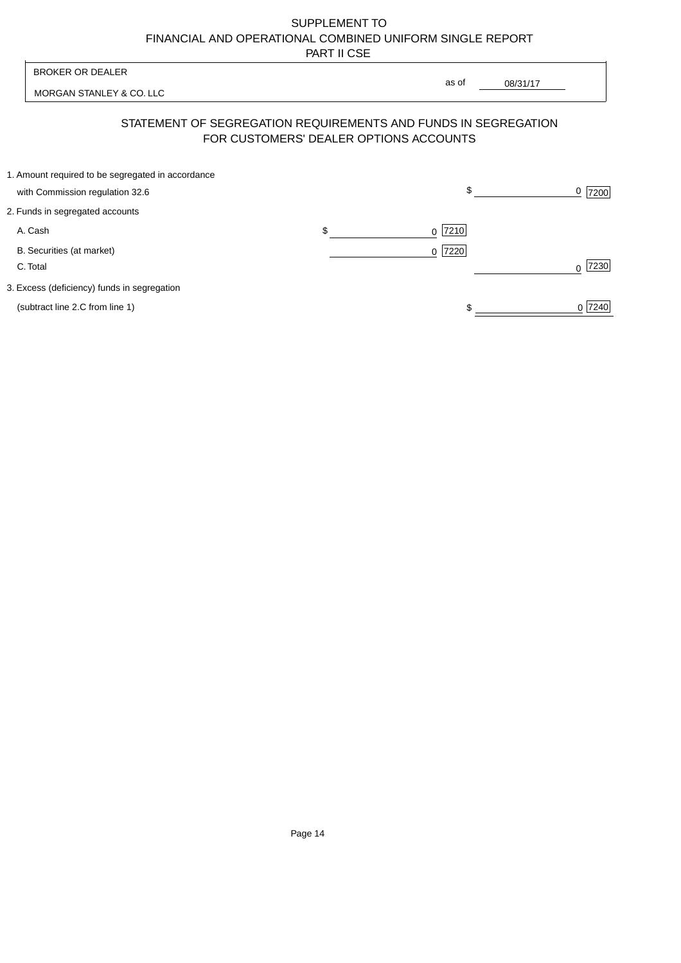| <b>BROKER OR DEALER</b>                                                              | as of                                                                                                    |           |
|--------------------------------------------------------------------------------------|----------------------------------------------------------------------------------------------------------|-----------|
| MORGAN STANLEY & CO. LLC                                                             | 08/31/17                                                                                                 |           |
|                                                                                      | STATEMENT OF SEGREGATION REQUIREMENTS AND FUNDS IN SEGREGATION<br>FOR CUSTOMERS' DEALER OPTIONS ACCOUNTS |           |
| 1. Amount required to be segregated in accordance<br>with Commission regulation 32.6 | \$                                                                                                       | 0<br>7200 |
| 2. Funds in segregated accounts                                                      |                                                                                                          |           |
| A. Cash                                                                              | \$<br>7210<br>$\Omega$                                                                                   |           |
| B. Securities (at market)<br>C. Total                                                | 0 7220                                                                                                   | 7230<br>U |
| 3. Excess (deficiency) funds in segregation                                          |                                                                                                          |           |
| (subtract line 2.C from line 1)                                                      |                                                                                                          | 0 7240    |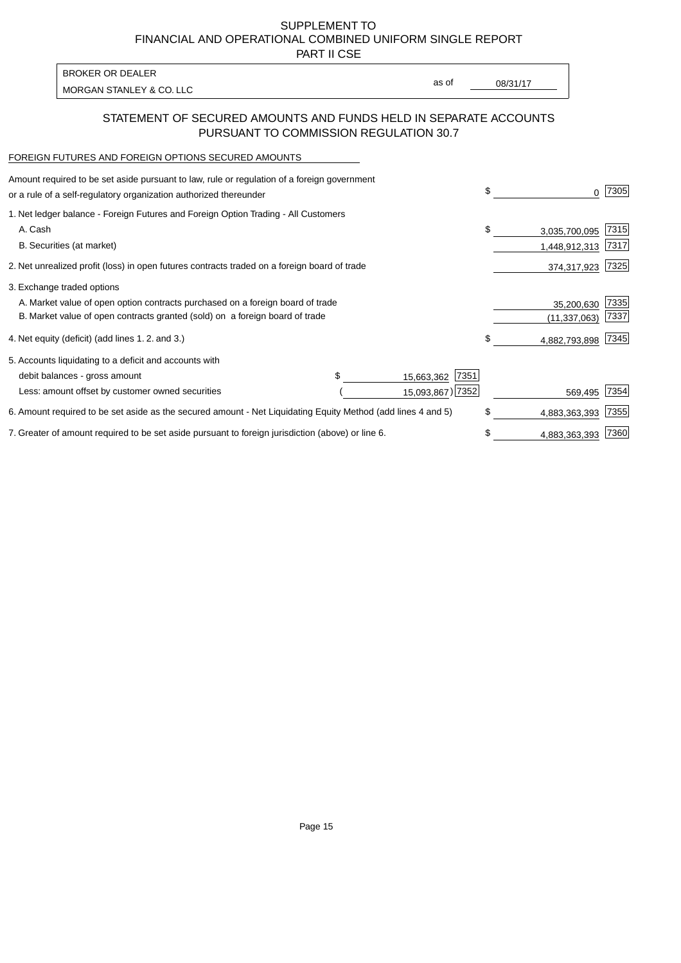PART II CSE

MORGAN STANLEY & CO. LLC and the contract of the contract of the contract of the contract of the contract of the contract of the contract of the contract of the contract of the contract of the contract of the contract of t BROKER OR DEALER

as of

### STATEMENT OF SECURED AMOUNTS AND FUNDS HELD IN SEPARATE ACCOUNTS PURSUANT TO COMMISSION REGULATION 30.7

#### FOREIGN FUTURES AND FOREIGN OPTIONS SECURED AMOUNTS

| Amount required to be set aside pursuant to law, rule or regulation of a foreign government<br>or a rule of a self-regulatory organization authorized thereunder |  |                    | \$  | O.             | 7305 |
|------------------------------------------------------------------------------------------------------------------------------------------------------------------|--|--------------------|-----|----------------|------|
| 1. Net ledger balance - Foreign Futures and Foreign Option Trading - All Customers                                                                               |  |                    |     |                |      |
| A. Cash                                                                                                                                                          |  |                    | \$  | 3,035,700,095  | 7315 |
| B. Securities (at market)                                                                                                                                        |  |                    |     | 1,448,912,313  | 7317 |
| 2. Net unrealized profit (loss) in open futures contracts traded on a foreign board of trade                                                                     |  |                    |     | 374,317,923    | 7325 |
| 3. Exchange traded options                                                                                                                                       |  |                    |     |                |      |
| A. Market value of open option contracts purchased on a foreign board of trade                                                                                   |  |                    |     | 35,200,630     | 7335 |
| B. Market value of open contracts granted (sold) on a foreign board of trade                                                                                     |  |                    |     | (11, 337, 063) | 7337 |
| 4. Net equity (deficit) (add lines 1.2. and 3.)                                                                                                                  |  |                    | \$  | 4,882,793,898  | 7345 |
| 5. Accounts liquidating to a deficit and accounts with                                                                                                           |  |                    |     |                |      |
| debit balances - gross amount                                                                                                                                    |  | 7351<br>15,663,362 |     |                |      |
| Less: amount offset by customer owned securities                                                                                                                 |  | 15,093,867) 7352   |     | 569,495        | 7354 |
| 6. Amount required to be set aside as the secured amount - Net Liquidating Equity Method (add lines 4 and 5)                                                     |  |                    | \$. | 4,883,363,393  | 7355 |
| 7. Greater of amount required to be set aside pursuant to foreign jurisdiction (above) or line 6.                                                                |  |                    | \$  | 4,883,363,393  | 7360 |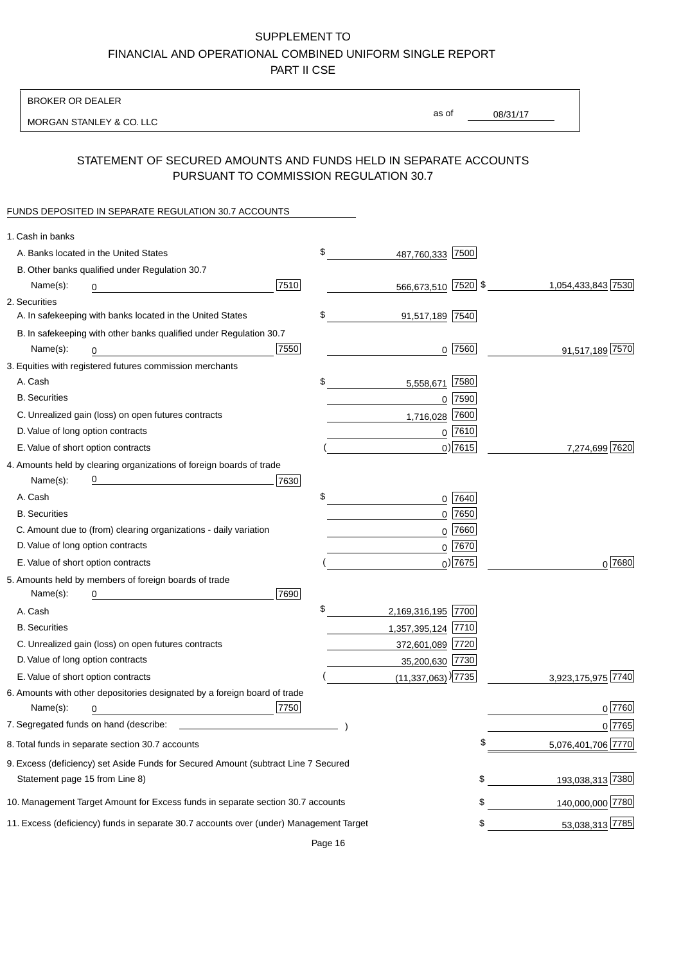BROKER OR DEALER

MORGAN STANLEY & CO. LLC

08/31/17 as of

## STATEMENT OF SECURED AMOUNTS AND FUNDS HELD IN SEPARATE ACCOUNTS PURSUANT TO COMMISSION REGULATION 30.7

#### FUNDS DEPOSITED IN SEPARATE REGULATION 30.7 ACCOUNTS

| 1. Cash in banks                  |                                                                                        |      |                                    |           |                    |
|-----------------------------------|----------------------------------------------------------------------------------------|------|------------------------------------|-----------|--------------------|
|                                   | A. Banks located in the United States                                                  |      | \$<br>487,760,333 7500             |           |                    |
|                                   | B. Other banks qualified under Regulation 30.7                                         |      |                                    |           |                    |
| Name(s):                          | 0                                                                                      | 7510 | 566,673,510 7520 \$                |           | 1,054,433,843 7530 |
| 2. Securities                     |                                                                                        |      |                                    |           |                    |
|                                   | A. In safekeeping with banks located in the United States                              |      | \$<br>91,517,189 7540              |           |                    |
|                                   | B. In safekeeping with other banks qualified under Regulation 30.7                     |      |                                    |           |                    |
| Name(s):                          | 0                                                                                      | 7550 | $0$  7560                          |           | 91,517,189 7570    |
|                                   | 3. Equities with registered futures commission merchants                               |      |                                    |           |                    |
| A. Cash                           |                                                                                        |      | \$<br>5,558,671                    | 7580      |                    |
| <b>B.</b> Securities              |                                                                                        |      | $0$ 7590                           |           |                    |
|                                   | C. Unrealized gain (loss) on open futures contracts                                    |      | 1,716,028                          | 7600      |                    |
| D. Value of long option contracts |                                                                                        |      | $0$ 7610                           |           |                    |
|                                   | E. Value of short option contracts                                                     |      |                                    | $0)$ 7615 | 7,274,699 7620     |
|                                   | 4. Amounts held by clearing organizations of foreign boards of trade                   |      |                                    |           |                    |
| Name(s):                          |                                                                                        | 7630 |                                    |           |                    |
| A. Cash                           |                                                                                        |      | \$<br>0 7640                       |           |                    |
| <b>B.</b> Securities              |                                                                                        |      | $0$ 7650                           |           |                    |
|                                   | C. Amount due to (from) clearing organizations - daily variation                       |      | $0$ 7660                           |           |                    |
| D. Value of long option contracts |                                                                                        |      | 0 7670                             |           |                    |
|                                   | E. Value of short option contracts                                                     |      | $0)$ 7675                          |           | $0^{7680}$         |
|                                   | 5. Amounts held by members of foreign boards of trade                                  |      |                                    |           |                    |
| Name(s):                          | 0                                                                                      | 7690 |                                    |           |                    |
| A. Cash                           |                                                                                        |      | \$<br>2,169,316,195 7700           |           |                    |
| <b>B.</b> Securities              |                                                                                        |      | 1,357,395,124 7710                 |           |                    |
|                                   | C. Unrealized gain (loss) on open futures contracts                                    |      | 372,601,089 7720                   |           |                    |
| D. Value of long option contracts |                                                                                        |      | 35,200,630 7730                    |           |                    |
|                                   | E. Value of short option contracts                                                     |      | $(11,337,063)$ <sup>)</sup> [7735] |           | 3,923,175,975 7740 |
|                                   | 6. Amounts with other depositories designated by a foreign board of trade              |      |                                    |           |                    |
| Name(s):                          | 0                                                                                      | 7750 |                                    |           | 0 7760             |
|                                   |                                                                                        |      |                                    |           | 0 7765             |
|                                   | 8. Total funds in separate section 30.7 accounts                                       |      |                                    |           | 5,076,401,706 7770 |
|                                   | 9. Excess (deficiency) set Aside Funds for Secured Amount (subtract Line 7 Secured     |      |                                    |           |                    |
| Statement page 15 from Line 8)    |                                                                                        |      |                                    | \$        | 193,038,313 7380   |
|                                   | 10. Management Target Amount for Excess funds in separate section 30.7 accounts        |      |                                    | \$        | 140,000,000 7780   |
|                                   | 11. Excess (deficiency) funds in separate 30.7 accounts over (under) Management Target |      |                                    | \$        | 53,038,313 7785    |
|                                   |                                                                                        |      |                                    |           |                    |